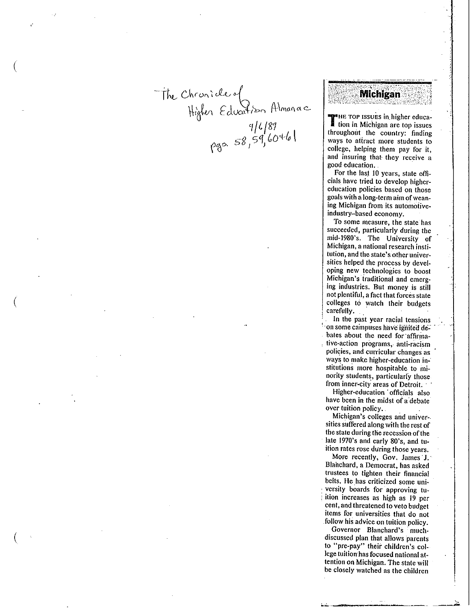The Chronicle of<br>Higher Education Almanace<br>pgo. 58,59,60461

 $\left($ 

# **Michigan**

**T HE TOP ISSUES** in higher educa-<br>**Lettion in Michigan are top issues** throughout the country: finding **ways to atfract more students to**  college, helping them pay for it, **and insuring that· they receive a**  good education ..

For the last 10 years, state officials. have tried to develop higher**education policies based on those goals with a long-term aim ofwean**ing Michigan from its automotiveindustry-based economy.

**To some measure, the state· has**  succeeded, particularly during the mid-l980's. The University of **Michigan, a national research institution, and the state's other univer**sities helped the process by devel**oping new technologies to boost**  Michigan's iraditional and emerging industries. But money is still<br>not plentiful, a fact that forces state colleges to watch their budgets carefully.

**In the past year racial tensions**   $\alpha$  some campuses have ignited debates about the need for affirma-. **tive-action programs,- anti-racism policies, and curricular changes as**  ways to make higher-education institutions more hospitable to minority students, particularly those from inner-city areas of Detroit.  $\cdot$ 

 $\ddot{\phantom{0}}$ 

Higher-education · officials also have been in the midst of a debate **over tuition policy .** .

**Michigan's colleges and univer**sities suffered along with the rest of the state during the recession of the late 1970's and early 80's, and tu**ition rates rose during those years.** 

More recently, Gov. James J. Blanchard, a Democrat, has asked trustees to tighten their financial **belts. He has criticized some uni** versity boards for approving tu-! **ition increases as high as 19 per**  cent, and threatened to veto budget **items for universities that do not**  follow his advice on tuition policy.

Governor Blanchard's muchdiscussed plan that allows parents to "pre-pay" their children's col lege tuition has focused national at tention on Michigan. The state will be closely watched as the children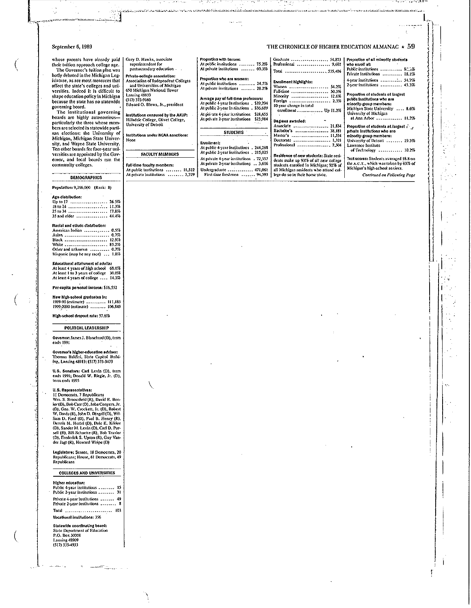#### September 6, 1989

whose parents have already paid | Ga. their tuition approach college age.<br>The Governor's tuition plan was<br>hotly debated in the Michigan Leg-

islature, as are most measures that<br>affect the state's colleges and universities. Indeed it is difficult to<br>shape education policy in Michigan because the state has no statewide

because the state has no state was<br>governing board.<br>The institutional governing<br>baards are highly autonomous-<br>particularly the three whose members are selected in statewide partisan elections: the University of<br>Michigan, Michigan State Univerencingal, memper state University.<br>
Ten other boards for four-year universities are appointed by the Governor, and local boards run the<br>community colleges.

## **DEMOGRAPHICS**

Population: 9,266,000 (Rank: 8)

#### **Ann dictribution**

| .                   |  |
|---------------------|--|
| Up to 17  26.59     |  |
|                     |  |
|                     |  |
| 35 and older  44.49 |  |
|                     |  |

### Racial and ethnic distribution:

| American Indian  0.5%            |  |
|----------------------------------|--|
| Asian  0.79                      |  |
| Black  12.9%                     |  |
| White  85.2%                     |  |
| Other and unknown  0.7%          |  |
| Historic (may be any race)  1.83 |  |

Educational attainment of adults:<br>At least 4 years of high school 68.0%<br>At least 1 to 3 years of college 30.0%<br>At least 4 years of college .... 14.3%

Per-capita personal income: \$16,552

New high-school graduates in: 1959-90 (estimate)<br>1959-90 (estimate)<br>1999-2000 (estimate)<br>196,849

High-school dropout rate: 37.6%

# POLITICAL LEADERSHIP

Governor: James J. Blanchard (D), term ends 1991

Governor's higher-education adviser:<br>Thomas Baldini, State Capitol Building, Lansing 48913; (517) 373-3423

U.S. Senators: Carl Levin (D), term<br>ends 1991; Donald W. Riegle, Jr. (D),<br>term ends 1995

#### U.S. Representatives:

U.S. Representatives:<br>
11 Democrats, 7 Republicans<br>
Wm. S. Broomfield (R), David E. Bon-<br>
Sor (D), Bod Carr (D), John Conyers, Jr.<br>
(D), Goo. W. Crockett, Jr. (D), Robert<br>
W. Davis (R), John D. Dingell (D), William<br>
D. Fo

Legislature: Senate, 18 Democrats, 20 Republicans; House, 61 Democrats, 49<br>Republicans

#### **COLLEGES AND UNIVERSITIES**

#### Higher education:

Public 4-year institutions ........ 15 Public 2-year insultations ........ 31 Private 4-year institutions ....... 49 Private 2-year institutions ........ 8 Total .......................... 103 Vocational Institutions: 356

Statewide coordinating board: State Department of Education<br>P.O. Box 30003<br>Lansing 48309<br>(517) 335-4933 THE CHRONICLE OF HIGHER EDUCATION ALMANAC  $\star$  59

And the contract of the con-

| Gary D. Hawks, associate<br>superintendent for<br>postsecondary education -                                                                                                                              | Proportion with tenure:<br>At public institutions  75.2%<br>At private institutions  60.3%                                                                                                                                | Graduate  54.823<br>Professional  9,602<br>Total 535,486                                                                                                   | Proportion of all minority students<br>who enroll at:<br>Public institutions  8, 7%                                                                                                                                        |
|----------------------------------------------------------------------------------------------------------------------------------------------------------------------------------------------------------|---------------------------------------------------------------------------------------------------------------------------------------------------------------------------------------------------------------------------|------------------------------------------------------------------------------------------------------------------------------------------------------------|----------------------------------------------------------------------------------------------------------------------------------------------------------------------------------------------------------------------------|
| Private college association:<br>Association of Independent Colleges<br>and Universities of Michigan<br>650 Michigan National Tower<br>Lansing 48933<br>(517) 372-9160<br>Edward O. Blews, Ir., president | Proportion who are women:<br>At public institutions  24.7%<br>At private institutions  28.2%<br>Arerage pay of full-time professors:<br>At public 4-year institutions 439,294<br>At public 2-year institutions : \$36,689 | Enrollment highlights:<br>54.2%<br>Women<br>Full-time  50.5%<br>Minority  12.6%<br>Foreign  2.3%<br>10-year change in total                                | Private institutions  18.1%<br>4-year institutions  54.7%<br>2-year institutions  45.3%<br>Proportion of students at largest<br>public institutions who are<br>minority-group members;<br>Michigan State University  8.656 |
| institutions censured by the AAUP:<br>Hillsdale College, Olivet College,<br>University of Detroit                                                                                                        | At private 4-year institutions \$28,655<br>At private 2-year institutions<br>\$23,914                                                                                                                                     | enrollment , Up 11.2%<br>Degrees awarded:<br>Associate  21.834                                                                                             | University of Michigan                                                                                                                                                                                                     |
| Institutions under HCAA sanctions:<br>Nobe                                                                                                                                                               | STUDENTS **<br>Ervollment:<br>At public 4-year institutions 1244,288                                                                                                                                                      | Bachelor's  38,181<br>Master's  11.534<br>Dectorate  1,321<br>Professional , 2,504                                                                         | Proportion of students at largest in the<br>private institutions who are<br>minority-group members:<br>University of Detroit  19.3%<br>Lawrence Institute                                                                  |
| <b>FACULTY MEMBERS</b>                                                                                                                                                                                   | At public 2-year institutions . 215,025                                                                                                                                                                                   | Residence of new students: State resi-                                                                                                                     | of Technology  10.256                                                                                                                                                                                                      |
| Full-time faculty members:<br>At public institutions  11,522<br>At private institutions  2,229                                                                                                           | At private 4-year institutions . 72,557<br>At private 2-year institutions . 3,616<br>Undergraduate  471,061<br>First-time freshmen  94,593                                                                                | deats make up 93% of all new college<br>students enrolled in Michigan; 92% of<br>all Michigan residents who attend col-<br>lege do so in their home state. | Test scores: Students averaged 18.8 on<br>the A.C.T., which was taken by 63% of<br>Michigan's high-school seniors.<br>Continued on Following Page                                                                          |

فسننتج للمشاهد والمستكر وأنقط والمستحيظ والمتحال والمتحدث والمرادية والمستروح والمتحدث والمستحدث والمرادي